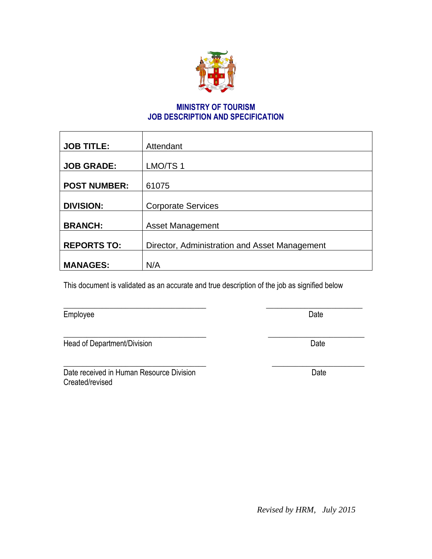

# **MINISTRY OF TOURISM JOB DESCRIPTION AND SPECIFICATION**

| <b>JOB TITLE:</b>   | Attendant                                     |  |
|---------------------|-----------------------------------------------|--|
| <b>JOB GRADE:</b>   | LMO/TS 1                                      |  |
| <b>POST NUMBER:</b> | 61075                                         |  |
| <b>DIVISION:</b>    | <b>Corporate Services</b>                     |  |
| <b>BRANCH:</b>      | <b>Asset Management</b>                       |  |
| <b>REPORTS TO:</b>  | Director, Administration and Asset Management |  |
| <b>MANAGES:</b>     | N/A                                           |  |

This document is validated as an accurate and true description of the job as signified below

\_\_\_\_\_\_\_\_\_\_\_\_\_\_\_\_\_\_\_\_\_\_\_\_\_\_\_\_\_\_\_\_\_\_\_\_\_ \_\_\_\_\_\_\_\_\_\_\_\_\_\_\_\_\_\_\_\_\_\_\_\_\_

| Employee | Date |
|----------|------|
|          |      |

Head of Department/Division Date

Date received in Human Resource Division Date Date Created/revised

 $\overline{\phantom{a}}$  , and the contribution of the contribution of the contribution of the contribution of the contribution of the contribution of the contribution of the contribution of the contribution of the contribution of the

*Revised by HRM, July 2015*

\_\_\_\_\_\_\_\_\_\_\_\_\_\_\_\_\_\_\_\_\_\_\_\_\_\_\_\_\_\_\_\_\_\_\_\_\_ \_\_\_\_\_\_\_\_\_\_\_\_\_\_\_\_\_\_\_\_\_\_\_\_\_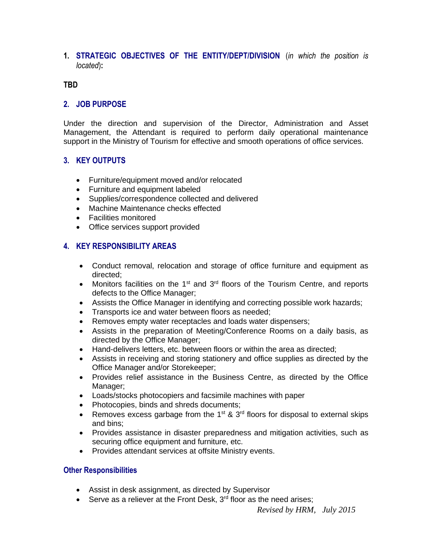### **1. STRATEGIC OBJECTIVES OF THE ENTITY/DEPT/DIVISION** (*in which the position is located*)**:**

#### **TBD**

### **2. JOB PURPOSE**

Under the direction and supervision of the Director, Administration and Asset Management, the Attendant is required to perform daily operational maintenance support in the Ministry of Tourism for effective and smooth operations of office services.

### **3. KEY OUTPUTS**

- Furniture/equipment moved and/or relocated
- Furniture and equipment labeled
- Supplies/correspondence collected and delivered
- Machine Maintenance checks effected
- Facilities monitored
- Office services support provided

### **4. KEY RESPONSIBILITY AREAS**

- Conduct removal, relocation and storage of office furniture and equipment as directed;
- Monitors facilities on the  $1<sup>st</sup>$  and  $3<sup>rd</sup>$  floors of the Tourism Centre, and reports defects to the Office Manager;
- Assists the Office Manager in identifying and correcting possible work hazards;
- Transports ice and water between floors as needed;
- Removes empty water receptacles and loads water dispensers;
- Assists in the preparation of Meeting/Conference Rooms on a daily basis, as directed by the Office Manager;
- Hand-delivers letters, etc. between floors or within the area as directed;
- Assists in receiving and storing stationery and office supplies as directed by the Office Manager and/or Storekeeper;
- Provides relief assistance in the Business Centre, as directed by the Office Manager;
- Loads/stocks photocopiers and facsimile machines with paper
- Photocopies, binds and shreds documents;
- Removes excess garbage from the  $1^{st}$  &  $3^{rd}$  floors for disposal to external skips and bins;
- Provides assistance in disaster preparedness and mitigation activities, such as securing office equipment and furniture, etc.
- Provides attendant services at offsite Ministry events.

#### **Other Responsibilities**

- Assist in desk assignment, as directed by Supervisor
- Serve as a reliever at the Front Desk,  $3<sup>rd</sup>$  floor as the need arises;